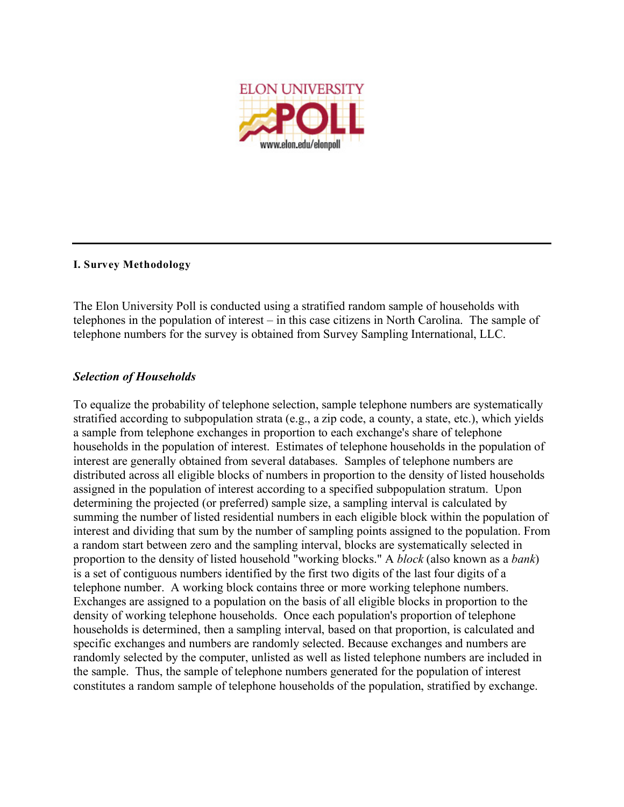

#### **I. Survey Methodology**

The Elon University Poll is conducted using a stratified random sample of households with telephones in the population of interest – in this case citizens in North Carolina. The sample of telephone numbers for the survey is obtained from Survey Sampling International, LLC.

### *Selection of Households*

To equalize the probability of telephone selection, sample telephone numbers are systematically stratified according to subpopulation strata (e.g., a zip code, a county, a state, etc.), which yields a sample from telephone exchanges in proportion to each exchange's share of telephone households in the population of interest. Estimates of telephone households in the population of interest are generally obtained from several databases. Samples of telephone numbers are distributed across all eligible blocks of numbers in proportion to the density of listed households assigned in the population of interest according to a specified subpopulation stratum. Upon determining the projected (or preferred) sample size, a sampling interval is calculated by summing the number of listed residential numbers in each eligible block within the population of interest and dividing that sum by the number of sampling points assigned to the population. From a random start between zero and the sampling interval, blocks are systematically selected in proportion to the density of listed household "working blocks." A *block* (also known as a *bank*) is a set of contiguous numbers identified by the first two digits of the last four digits of a telephone number. A working block contains three or more working telephone numbers. Exchanges are assigned to a population on the basis of all eligible blocks in proportion to the density of working telephone households. Once each population's proportion of telephone households is determined, then a sampling interval, based on that proportion, is calculated and specific exchanges and numbers are randomly selected. Because exchanges and numbers are randomly selected by the computer, unlisted as well as listed telephone numbers are included in the sample. Thus, the sample of telephone numbers generated for the population of interest constitutes a random sample of telephone households of the population, stratified by exchange.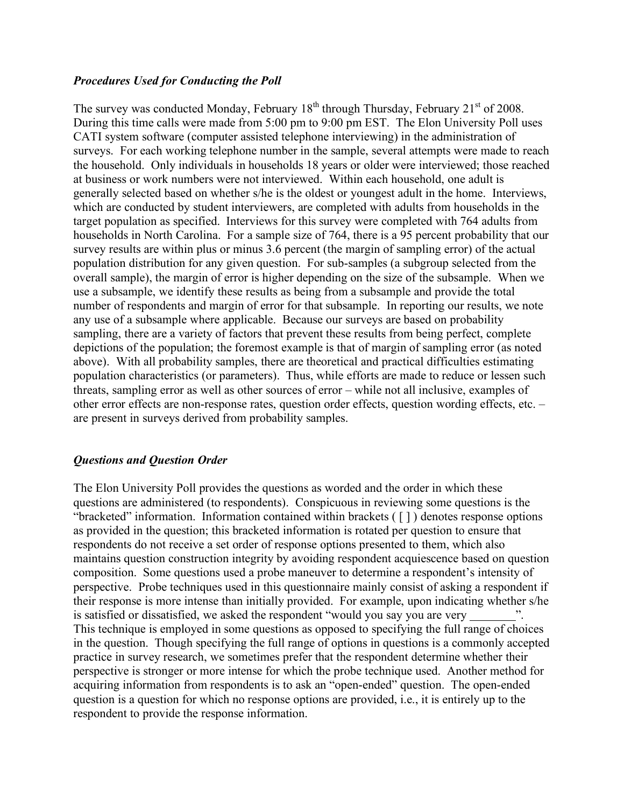### *Procedures Used for Conducting the Poll*

The survey was conducted Monday, February  $18<sup>th</sup>$  through Thursday, February  $21<sup>st</sup>$  of 2008. During this time calls were made from 5:00 pm to 9:00 pm EST. The Elon University Poll uses CATI system software (computer assisted telephone interviewing) in the administration of surveys. For each working telephone number in the sample, several attempts were made to reach the household. Only individuals in households 18 years or older were interviewed; those reached at business or work numbers were not interviewed. Within each household, one adult is generally selected based on whether s/he is the oldest or youngest adult in the home. Interviews, which are conducted by student interviewers, are completed with adults from households in the target population as specified. Interviews for this survey were completed with 764 adults from households in North Carolina. For a sample size of 764, there is a 95 percent probability that our survey results are within plus or minus 3.6 percent (the margin of sampling error) of the actual population distribution for any given question. For sub-samples (a subgroup selected from the overall sample), the margin of error is higher depending on the size of the subsample. When we use a subsample, we identify these results as being from a subsample and provide the total number of respondents and margin of error for that subsample. In reporting our results, we note any use of a subsample where applicable. Because our surveys are based on probability sampling, there are a variety of factors that prevent these results from being perfect, complete depictions of the population; the foremost example is that of margin of sampling error (as noted above). With all probability samples, there are theoretical and practical difficulties estimating population characteristics (or parameters). Thus, while efforts are made to reduce or lessen such threats, sampling error as well as other sources of error – while not all inclusive, examples of other error effects are non-response rates, question order effects, question wording effects, etc. – are present in surveys derived from probability samples.

# *Questions and Question Order*

The Elon University Poll provides the questions as worded and the order in which these questions are administered (to respondents). Conspicuous in reviewing some questions is the "bracketed" information. Information contained within brackets ( [ ] ) denotes response options as provided in the question; this bracketed information is rotated per question to ensure that respondents do not receive a set order of response options presented to them, which also maintains question construction integrity by avoiding respondent acquiescence based on question composition. Some questions used a probe maneuver to determine a respondent's intensity of perspective. Probe techniques used in this questionnaire mainly consist of asking a respondent if their response is more intense than initially provided. For example, upon indicating whether s/he is satisfied or dissatisfied, we asked the respondent "would you say you are very ". This technique is employed in some questions as opposed to specifying the full range of choices in the question. Though specifying the full range of options in questions is a commonly accepted practice in survey research, we sometimes prefer that the respondent determine whether their perspective is stronger or more intense for which the probe technique used. Another method for acquiring information from respondents is to ask an "open-ended" question. The open-ended question is a question for which no response options are provided, i.e., it is entirely up to the respondent to provide the response information.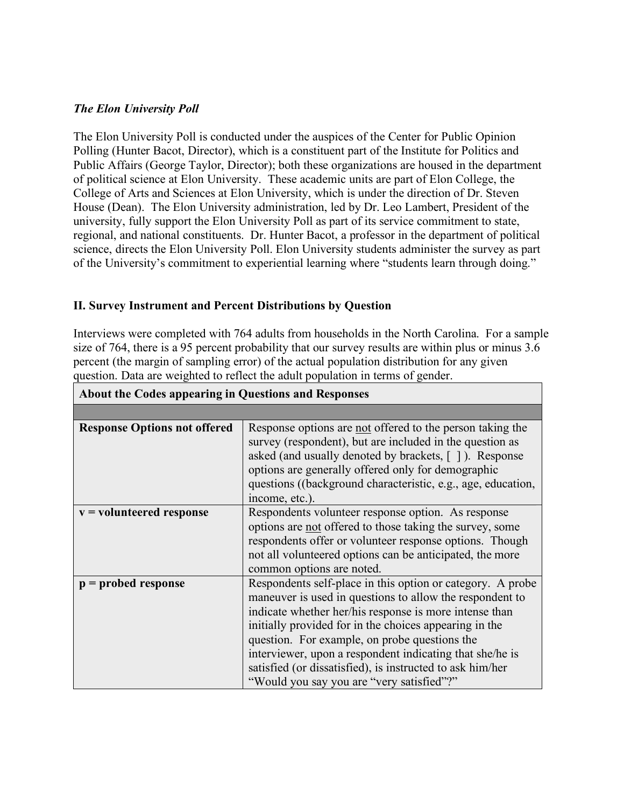### *The Elon University Poll*

The Elon University Poll is conducted under the auspices of the Center for Public Opinion Polling (Hunter Bacot, Director), which is a constituent part of the Institute for Politics and Public Affairs (George Taylor, Director); both these organizations are housed in the department of political science at Elon University. These academic units are part of Elon College, the College of Arts and Sciences at Elon University, which is under the direction of Dr. Steven House (Dean). The Elon University administration, led by Dr. Leo Lambert, President of the university, fully support the Elon University Poll as part of its service commitment to state, regional, and national constituents. Dr. Hunter Bacot, a professor in the department of political science, directs the Elon University Poll. Elon University students administer the survey as part of the University's commitment to experiential learning where "students learn through doing."

# **II. Survey Instrument and Percent Distributions by Question**

Interviews were completed with 764 adults from households in the North Carolina. For a sample size of 764, there is a 95 percent probability that our survey results are within plus or minus 3.6 percent (the margin of sampling error) of the actual population distribution for any given question. Data are weighted to reflect the adult population in terms of gender.

| <b>About the Codes appearing in Questions and Responses</b> |                                                                                                                                                                                                                                                                                                                                                                                                                                                                   |  |  |  |
|-------------------------------------------------------------|-------------------------------------------------------------------------------------------------------------------------------------------------------------------------------------------------------------------------------------------------------------------------------------------------------------------------------------------------------------------------------------------------------------------------------------------------------------------|--|--|--|
|                                                             |                                                                                                                                                                                                                                                                                                                                                                                                                                                                   |  |  |  |
| <b>Response Options not offered</b>                         | Response options are not offered to the person taking the<br>survey (respondent), but are included in the question as<br>asked (and usually denoted by brackets, []). Response<br>options are generally offered only for demographic<br>questions ((background characteristic, e.g., age, education,<br>income, etc.).                                                                                                                                            |  |  |  |
| $v =$ volunteered response                                  | Respondents volunteer response option. As response<br>options are not offered to those taking the survey, some<br>respondents offer or volunteer response options. Though<br>not all volunteered options can be anticipated, the more<br>common options are noted.                                                                                                                                                                                                |  |  |  |
| $p =$ probed response                                       | Respondents self-place in this option or category. A probe<br>maneuver is used in questions to allow the respondent to<br>indicate whether her/his response is more intense than<br>initially provided for in the choices appearing in the<br>question. For example, on probe questions the<br>interviewer, upon a respondent indicating that she/he is<br>satisfied (or dissatisfied), is instructed to ask him/her<br>"Would you say you are "very satisfied"?" |  |  |  |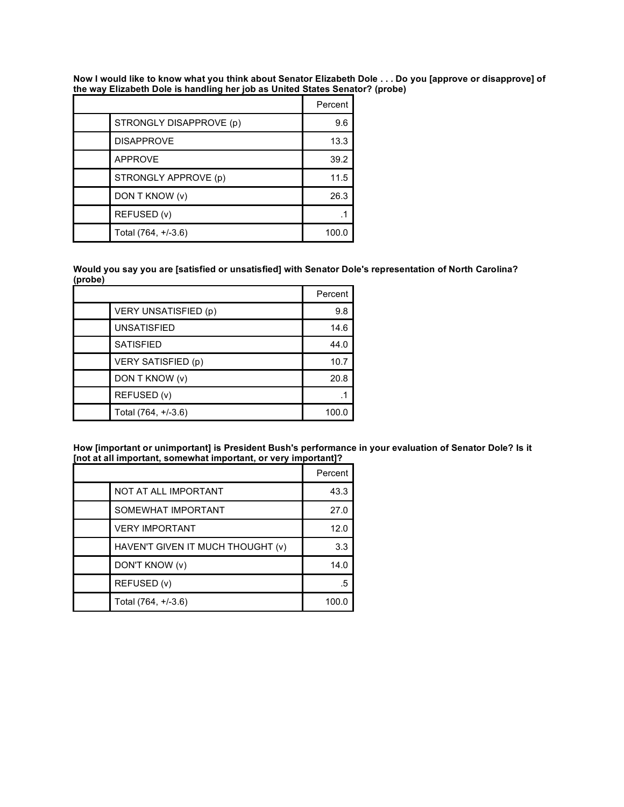Now I would like to know what you think about Senator Elizabeth Dole . . . Do you [approve or disapprove] of **the way Elizabeth Dole is handling her job as United States Senator? (probe)**

|                         | Percent |
|-------------------------|---------|
| STRONGLY DISAPPROVE (p) | 9.6     |
| <b>DISAPPROVE</b>       | 13.3    |
| <b>APPROVE</b>          | 39.2    |
| STRONGLY APPROVE (p)    | 11.5    |
| DON T KNOW (v)          | 26.3    |
| REFUSED (v)             |         |
| Total (764, +/-3.6)     | 100.0   |

**Would you say you are [satisfied or unsatisfied] with Senator Dole's representation of North Carolina? (probe)**

|                           | Percent |
|---------------------------|---------|
| VERY UNSATISFIED (p)      | 9.8     |
| <b>UNSATISFIED</b>        | 14.6    |
| <b>SATISFIED</b>          | 44.0    |
| <b>VERY SATISFIED (p)</b> | 10.7    |
| DON T KNOW (v)            | 20.8    |
| REFUSED (v)               |         |
| Total (764, +/-3.6)       | 100.0   |

**How [important or unimportant] is President Bush's performance in your evaluation of Senator Dole? Is it [not at all important, somewhat important, or very important]?**

|                                   | Percent |
|-----------------------------------|---------|
| NOT AT ALL IMPORTANT              | 43.3    |
| SOMEWHAT IMPORTANT                | 27.0    |
| <b>VERY IMPORTANT</b>             | 12.0    |
| HAVEN'T GIVEN IT MUCH THOUGHT (v) | 3.3     |
| DON'T KNOW (v)                    | 14.0    |
| REFUSED (v)                       | .5      |
| Total (764, +/-3.6)               | 100.0   |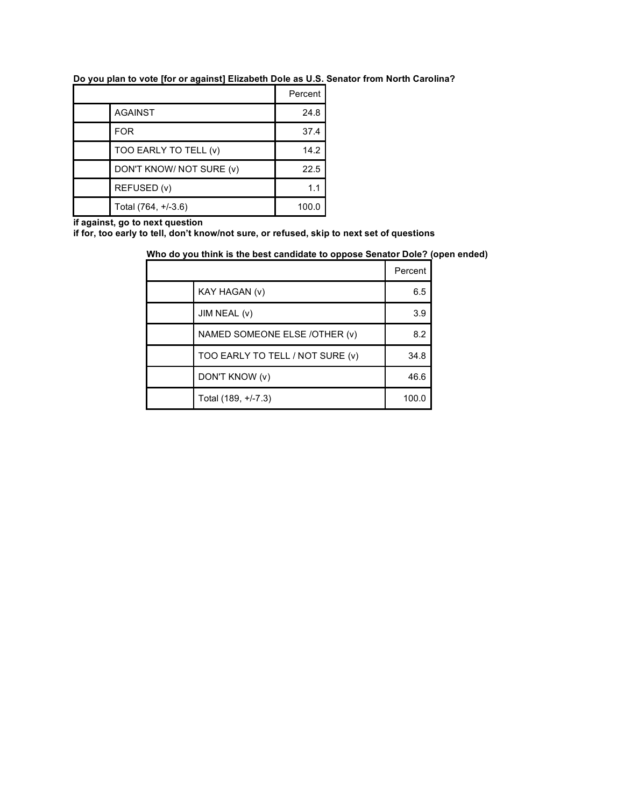|  |  |  |  |  |  | Do you plan to vote [for or against] Elizabeth Dole as U.S. Senator from North Carolina? |
|--|--|--|--|--|--|------------------------------------------------------------------------------------------|
|  |  |  |  |  |  |                                                                                          |
|  |  |  |  |  |  |                                                                                          |

|                          | Percent |
|--------------------------|---------|
| <b>AGAINST</b>           | 24.8    |
| <b>FOR</b>               | 37.4    |
| TOO EARLY TO TELL (v)    | 14.2    |
| DON'T KNOW/ NOT SURE (v) | 22.5    |
| REFUSED (v)              | 1.1     |
| Total (764, +/-3.6)      | 100.0   |

**if against, go to next question**

**if for, too early to tell, don't know/not sure, or refused, skip to next set of questions**

# **Who do you think is the best candidate to oppose Senator Dole? (open ended)**

|                                  | Percent |
|----------------------------------|---------|
| KAY HAGAN (v)                    | 6.5     |
| JIM NEAL (v)                     | 3.9     |
| NAMED SOMEONE ELSE /OTHER (v)    | 8.2     |
| TOO EARLY TO TELL / NOT SURE (v) | 34.8    |
| DON'T KNOW (v)                   | 46.6    |
| Total (189, +/-7.3)              | 100.0   |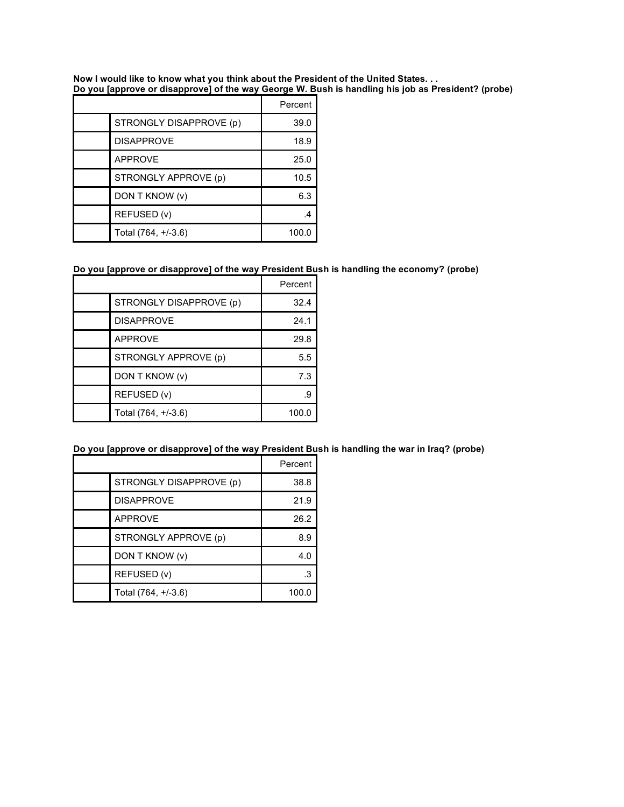**Now I would like to know what you think about the President of the United States. . . Do you [approve or disapprove] of the way George W. Bush is handling his job as President? (probe)**

|                         | Percent |
|-------------------------|---------|
| STRONGLY DISAPPROVE (p) | 39.0    |
| <b>DISAPPROVE</b>       | 18.9    |
| <b>APPROVE</b>          | 25.0    |
| STRONGLY APPROVE (p)    | 10.5    |
| DON T KNOW (v)          | 6.3     |
| REFUSED (v)             |         |
| Total (764, +/-3.6)     | 100.0   |

#### **Do you [approve or disapprove] of the way President Bush is handling the economy? (probe)**

|                         | Percent |
|-------------------------|---------|
| STRONGLY DISAPPROVE (p) | 32.4    |
| <b>DISAPPROVE</b>       | 24.1    |
| <b>APPROVE</b>          | 29.8    |
| STRONGLY APPROVE (p)    | 5.5     |
| DON T KNOW (v)          | 7.3     |
| REFUSED (v)             |         |
| Total (764, +/-3.6)     | 100.0   |

# **Do you [approve or disapprove] of the way President Bush is handling the war in Iraq? (probe)**

|                         | Percent |
|-------------------------|---------|
| STRONGLY DISAPPROVE (p) | 38.8    |
| <b>DISAPPROVE</b>       | 21.9    |
| <b>APPROVE</b>          | 26.2    |
| STRONGLY APPROVE (p)    | 8.9     |
| DON T KNOW (v)          | 4.0     |
| REFUSED (v)             | .3      |
| Total (764, +/-3.6)     | 100.0   |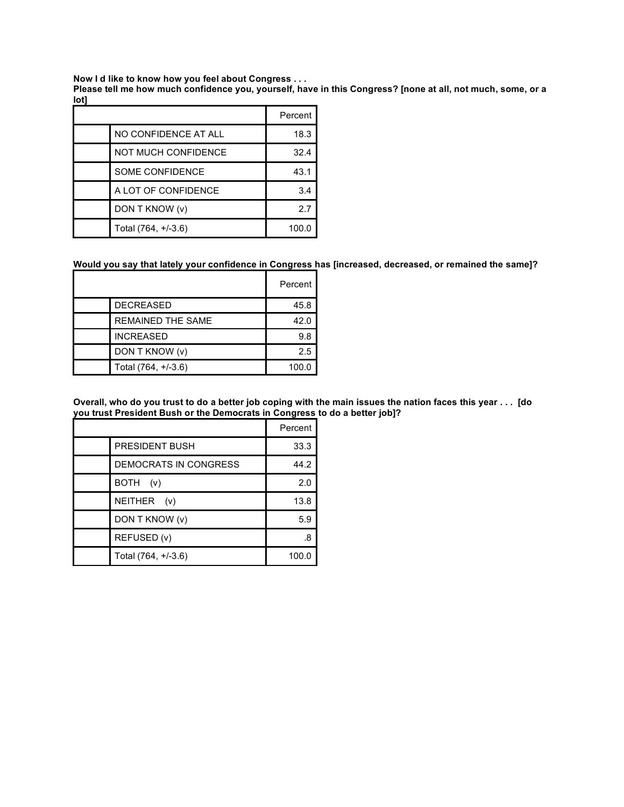**Now I d like to know how you feel about Congress . . .**

Please tell me how much confidence you, yourself, have in this Congress? [none at all, not much, some, or a **lot]**

|                            | Percent |
|----------------------------|---------|
| NO CONFIDENCE AT ALL       | 18.3    |
| <b>NOT MUCH CONFIDENCE</b> | 32.4    |
| <b>SOME CONFIDENCE</b>     | 43.1    |
| A LOT OF CONFIDENCE        | 3.4     |
| DON T KNOW (v)             | 27      |
| Total (764, +/-3.6)        | 100.0   |

#### **Would you say that lately your confidence in Congress has [increased, decreased, or remained the same]?**

|                          | Percent |
|--------------------------|---------|
| <b>DECREASED</b>         | 45.8    |
| <b>REMAINED THE SAME</b> | 42.0    |
| <b>INCREASED</b>         | 9.8     |
| DON T KNOW (v)           | 2.5     |
| Total (764, +/-3.6)      | 100.0   |

Overall, who do you trust to do a better job coping with the main issues the nation faces this year . . . [do **you trust President Bush or the Democrats in Congress to do a better job]?**

|                       | Percent |
|-----------------------|---------|
| <b>PRESIDENT BUSH</b> | 33.3    |
| DEMOCRATS IN CONGRESS | 44.2    |
| <b>BOTH</b><br>(v)    | 2.0     |
| NEITHER<br>(v)        | 13.8    |
| DON T KNOW (v)        | 5.9     |
| REFUSED (v)           | .8      |
| Total (764, +/-3.6)   | 100.0   |